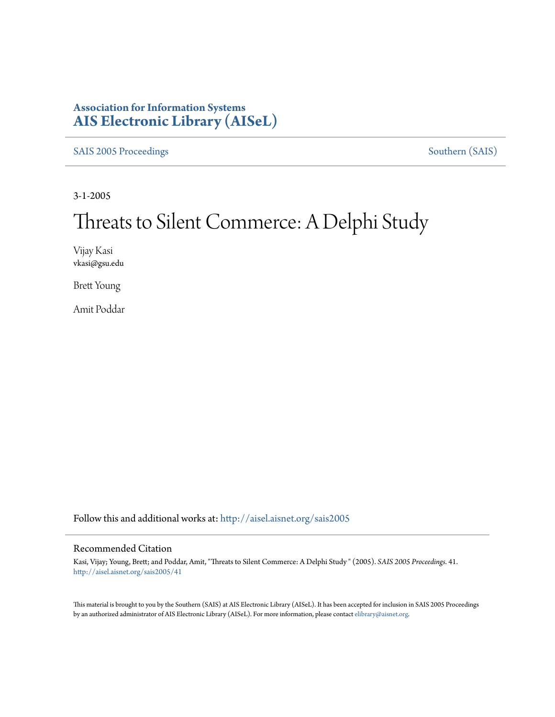### **Association for Information Systems [AIS Electronic Library \(AISeL\)](http://aisel.aisnet.org?utm_source=aisel.aisnet.org%2Fsais2005%2F41&utm_medium=PDF&utm_campaign=PDFCoverPages)**

[SAIS 2005 Proceedings](http://aisel.aisnet.org/sais2005?utm_source=aisel.aisnet.org%2Fsais2005%2F41&utm_medium=PDF&utm_campaign=PDFCoverPages) [Southern \(SAIS\)](http://aisel.aisnet.org/sais?utm_source=aisel.aisnet.org%2Fsais2005%2F41&utm_medium=PDF&utm_campaign=PDFCoverPages)

3-1-2005

# Threats to Silent Commerce: A Delphi Study

Vijay Kasi vkasi@gsu.edu

Brett Young

Amit Poddar

Follow this and additional works at: [http://aisel.aisnet.org/sais2005](http://aisel.aisnet.org/sais2005?utm_source=aisel.aisnet.org%2Fsais2005%2F41&utm_medium=PDF&utm_campaign=PDFCoverPages)

#### Recommended Citation

Kasi, Vijay; Young, Brett; and Poddar, Amit, "Threats to Silent Commerce: A Delphi Study " (2005). *SAIS 2005 Proceedings*. 41. [http://aisel.aisnet.org/sais2005/41](http://aisel.aisnet.org/sais2005/41?utm_source=aisel.aisnet.org%2Fsais2005%2F41&utm_medium=PDF&utm_campaign=PDFCoverPages)

This material is brought to you by the Southern (SAIS) at AIS Electronic Library (AISeL). It has been accepted for inclusion in SAIS 2005 Proceedings by an authorized administrator of AIS Electronic Library (AISeL). For more information, please contact [elibrary@aisnet.org](mailto:elibrary@aisnet.org%3E).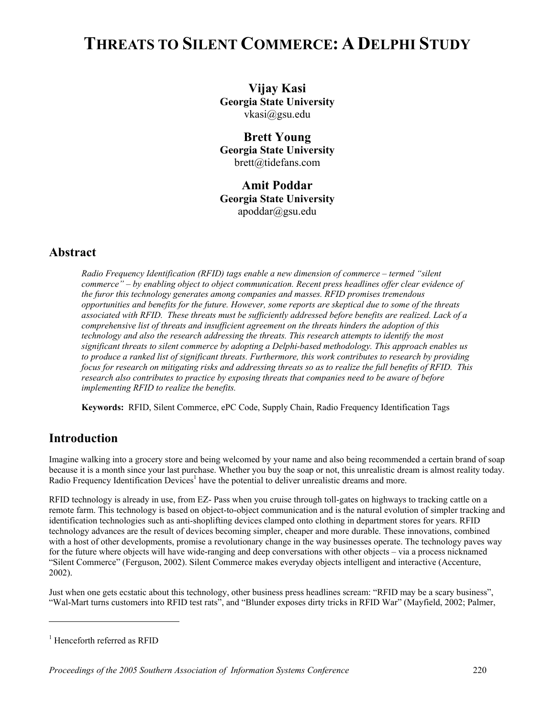## **THREATS TO SILENT COMMERCE: A DELPHI STUDY**

**Vijay Kasi Georgia State University**  vkasi@gsu.edu

**Brett Young Georgia State University**  brett@tidefans.com

**Amit Poddar Georgia State University**  apoddar@gsu.edu

### **Abstract**

*Radio Frequency Identification (RFID) tags enable a new dimension of commerce – termed "silent commerce" – by enabling object to object communication. Recent press headlines offer clear evidence of the furor this technology generates among companies and masses. RFID promises tremendous opportunities and benefits for the future. However, some reports are skeptical due to some of the threats associated with RFID. These threats must be sufficiently addressed before benefits are realized. Lack of a comprehensive list of threats and insufficient agreement on the threats hinders the adoption of this technology and also the research addressing the threats. This research attempts to identify the most significant threats to silent commerce by adopting a Delphi-based methodology. This approach enables us to produce a ranked list of significant threats. Furthermore, this work contributes to research by providing focus for research on mitigating risks and addressing threats so as to realize the full benefits of RFID. This research also contributes to practice by exposing threats that companies need to be aware of before implementing RFID to realize the benefits.* 

**Keywords:** RFID, Silent Commerce, ePC Code, Supply Chain, Radio Frequency Identification Tags

### **Introduction**

Imagine walking into a grocery store and being welcomed by your name and also being recommended a certain brand of soap because it is a month since your last purchase. Whether you buy the soap or not, this unrealistic dream is almost reality today. Radio Frequency Identification Devices<sup>[1](#page-1-0)</sup> have the potential to deliver unrealistic dreams and more.

RFID technology is already in use, from EZ- Pass when you cruise through toll-gates on highways to tracking cattle on a remote farm. This technology is based on object-to-object communication and is the natural evolution of simpler tracking and identification technologies such as anti-shoplifting devices clamped onto clothing in department stores for years. RFID technology advances are the result of devices becoming simpler, cheaper and more durable. These innovations, combined with a host of other developments, promise a revolutionary change in the way businesses operate. The technology paves way for the future where objects will have wide-ranging and deep conversations with other objects – via a process nicknamed "Silent Commerce" (Ferguson, 2002). Silent Commerce makes everyday objects intelligent and interactive (Accenture, 2002).

Just when one gets ecstatic about this technology, other business press headlines scream: "RFID may be a scary business", "Wal-Mart turns customers into RFID test rats", and "Blunder exposes dirty tricks in RFID War" (Mayfield, 2002; Palmer,

 $\overline{a}$ 

<span id="page-1-0"></span><sup>&</sup>lt;sup>1</sup> Henceforth referred as RFID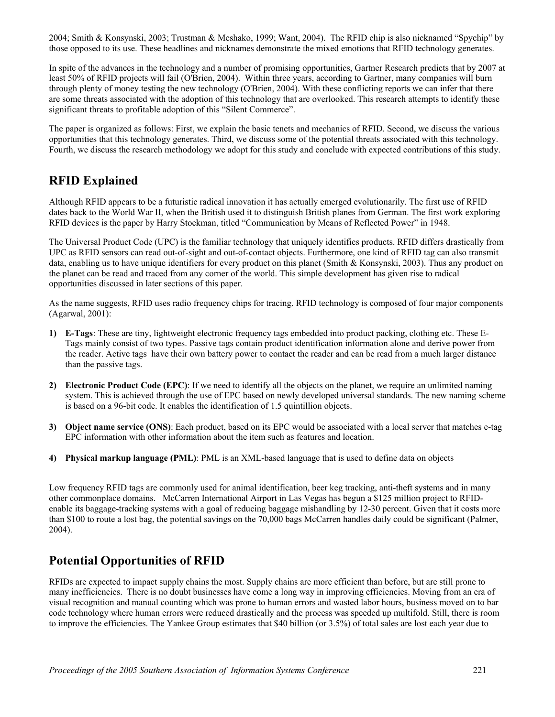2004; Smith & Konsynski, 2003; Trustman & Meshako, 1999; Want, 2004). The RFID chip is also nicknamed "Spychip" by those opposed to its use. These headlines and nicknames demonstrate the mixed emotions that RFID technology generates.

In spite of the advances in the technology and a number of promising opportunities, Gartner Research predicts that by 2007 at least 50% of RFID projects will fail (O'Brien, 2004). Within three years, according to Gartner, many companies will burn through plenty of money testing the new technology (O'Brien, 2004). With these conflicting reports we can infer that there are some threats associated with the adoption of this technology that are overlooked. This research attempts to identify these significant threats to profitable adoption of this "Silent Commerce".

The paper is organized as follows: First, we explain the basic tenets and mechanics of RFID. Second, we discuss the various opportunities that this technology generates. Third, we discuss some of the potential threats associated with this technology. Fourth, we discuss the research methodology we adopt for this study and conclude with expected contributions of this study.

### **RFID Explained**

Although RFID appears to be a futuristic radical innovation it has actually emerged evolutionarily. The first use of RFID dates back to the World War II, when the British used it to distinguish British planes from German. The first work exploring RFID devices is the paper by Harry Stockman, titled "Communication by Means of Reflected Power" in 1948.

The Universal Product Code (UPC) is the familiar technology that uniquely identifies products. RFID differs drastically from UPC as RFID sensors can read out-of-sight and out-of-contact objects. Furthermore, one kind of RFID tag can also transmit data, enabling us to have unique identifiers for every product on this planet (Smith  $\&$  Konsynski, 2003). Thus any product on the planet can be read and traced from any corner of the world. This simple development has given rise to radical opportunities discussed in later sections of this paper.

As the name suggests, RFID uses radio frequency chips for tracing. RFID technology is composed of four major components (Agarwal, 2001):

- **1) E-Tags**: These are tiny, lightweight electronic frequency tags embedded into product packing, clothing etc. These E-Tags mainly consist of two types. Passive tags contain product identification information alone and derive power from the reader. Active tags have their own battery power to contact the reader and can be read from a much larger distance than the passive tags.
- **2) Electronic Product Code (EPC)**: If we need to identify all the objects on the planet, we require an unlimited naming system. This is achieved through the use of EPC based on newly developed universal standards. The new naming scheme is based on a 96-bit code. It enables the identification of 1.5 quintillion objects.
- **3) Object name service (ONS)**: Each product, based on its EPC would be associated with a local server that matches e-tag EPC information with other information about the item such as features and location.
- **4) Physical markup language (PML)**: PML is an XML-based language that is used to define data on objects

Low frequency RFID tags are commonly used for animal identification, beer keg tracking, anti-theft systems and in many other commonplace domains. McCarren International Airport in Las Vegas has begun a \$125 million project to RFIDenable its baggage-tracking systems with a goal of reducing baggage mishandling by 12-30 percent. Given that it costs more than \$100 to route a lost bag, the potential savings on the 70,000 bags McCarren handles daily could be significant (Palmer, 2004).

### **Potential Opportunities of RFID**

RFIDs are expected to impact supply chains the most. Supply chains are more efficient than before, but are still prone to many inefficiencies. There is no doubt businesses have come a long way in improving efficiencies. Moving from an era of visual recognition and manual counting which was prone to human errors and wasted labor hours, business moved on to bar code technology where human errors were reduced drastically and the process was speeded up multifold. Still, there is room to improve the efficiencies. The Yankee Group estimates that \$40 billion (or 3.5%) of total sales are lost each year due to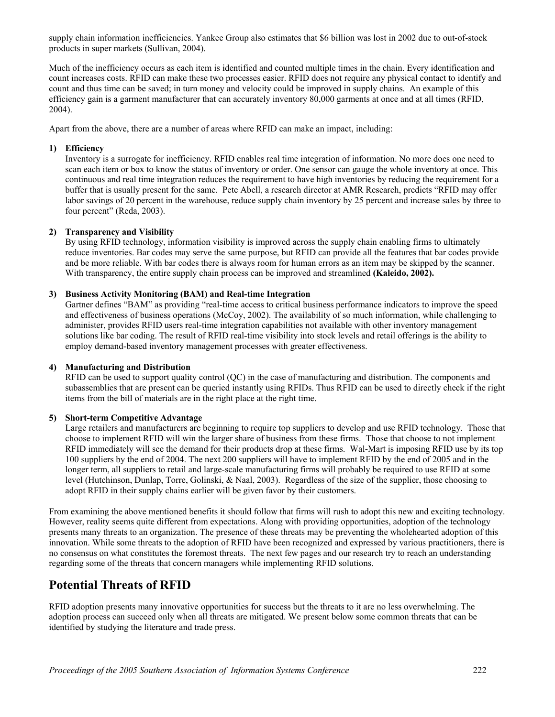supply chain information inefficiencies. Yankee Group also estimates that \$6 billion was lost in 2002 due to out-of-stock products in super markets (Sullivan, 2004).

Much of the inefficiency occurs as each item is identified and counted multiple times in the chain. Every identification and count increases costs. RFID can make these two processes easier. RFID does not require any physical contact to identify and count and thus time can be saved; in turn money and velocity could be improved in supply chains. An example of this efficiency gain is a garment manufacturer that can accurately inventory 80,000 garments at once and at all times (RFID, 2004).

Apart from the above, there are a number of areas where RFID can make an impact, including:

#### **1) Efficiency**

Inventory is a surrogate for inefficiency. RFID enables real time integration of information. No more does one need to scan each item or box to know the status of inventory or order. One sensor can gauge the whole inventory at once. This continuous and real time integration reduces the requirement to have high inventories by reducing the requirement for a buffer that is usually present for the same. Pete Abell, a research director at AMR Research, predicts "RFID may offer labor savings of 20 percent in the warehouse, reduce supply chain inventory by 25 percent and increase sales by three to four percent" (Reda, 2003).

#### **2) Transparency and Visibility**

By using RFID technology, information visibility is improved across the supply chain enabling firms to ultimately reduce inventories. Bar codes may serve the same purpose, but RFID can provide all the features that bar codes provide and be more reliable. With bar codes there is always room for human errors as an item may be skipped by the scanner. With transparency, the entire supply chain process can be improved and streamlined (Kaleido, 2002).

#### **3) Business Activity Monitoring (BAM) and Real-time Integration**

Gartner defines "BAM" as providing "real-time access to critical business performance indicators to improve the speed and effectiveness of business operations (McCoy, 2002). The availability of so much information, while challenging to administer, provides RFID users real-time integration capabilities not available with other inventory management solutions like bar coding. The result of RFID real-time visibility into stock levels and retail offerings is the ability to employ demand-based inventory management processes with greater effectiveness.

#### **4) Manufacturing and Distribution**

RFID can be used to support quality control (QC) in the case of manufacturing and distribution. The components and subassemblies that are present can be queried instantly using RFIDs. Thus RFID can be used to directly check if the right items from the bill of materials are in the right place at the right time.

#### **5) Short-term Competitive Advantage**

Large retailers and manufacturers are beginning to require top suppliers to develop and use RFID technology. Those that choose to implement RFID will win the larger share of business from these firms. Those that choose to not implement RFID immediately will see the demand for their products drop at these firms. Wal-Mart is imposing RFID use by its top 100 suppliers by the end of 2004. The next 200 suppliers will have to implement RFID by the end of 2005 and in the longer term, all suppliers to retail and large-scale manufacturing firms will probably be required to use RFID at some level (Hutchinson, Dunlap, Torre, Golinski, & Naal, 2003). Regardless of the size of the supplier, those choosing to adopt RFID in their supply chains earlier will be given favor by their customers.

From examining the above mentioned benefits it should follow that firms will rush to adopt this new and exciting technology. However, reality seems quite different from expectations. Along with providing opportunities, adoption of the technology presents many threats to an organization. The presence of these threats may be preventing the wholehearted adoption of this innovation. While some threats to the adoption of RFID have been recognized and expressed by various practitioners, there is no consensus on what constitutes the foremost threats. The next few pages and our research try to reach an understanding regarding some of the threats that concern managers while implementing RFID solutions.

### **Potential Threats of RFID**

RFID adoption presents many innovative opportunities for success but the threats to it are no less overwhelming. The adoption process can succeed only when all threats are mitigated. We present below some common threats that can be identified by studying the literature and trade press.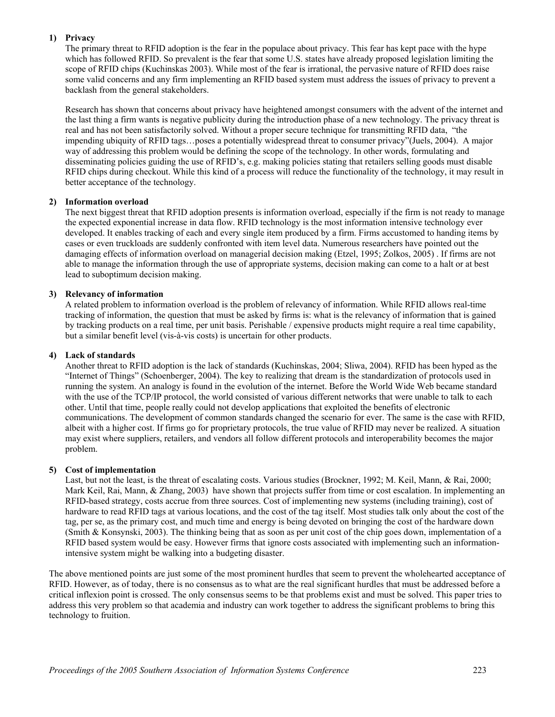#### **1) Privacy**

The primary threat to RFID adoption is the fear in the populace about privacy. This fear has kept pace with the hype which has followed RFID. So prevalent is the fear that some U.S. states have already proposed legislation limiting the scope of RFID chips (Kuchinskas 2003). While most of the fear is irrational, the pervasive nature of RFID does raise some valid concerns and any firm implementing an RFID based system must address the issues of privacy to prevent a backlash from the general stakeholders.

Research has shown that concerns about privacy have heightened amongst consumers with the advent of the internet and the last thing a firm wants is negative publicity during the introduction phase of a new technology. The privacy threat is real and has not been satisfactorily solved. Without a proper secure technique for transmitting RFID data, "the impending ubiquity of RFID tags…poses a potentially widespread threat to consumer privacy"(Juels, 2004). A major way of addressing this problem would be defining the scope of the technology. In other words, formulating and disseminating policies guiding the use of RFID's, e.g. making policies stating that retailers selling goods must disable RFID chips during checkout. While this kind of a process will reduce the functionality of the technology, it may result in better acceptance of the technology.

#### **2) Information overload**

The next biggest threat that RFID adoption presents is information overload, especially if the firm is not ready to manage the expected exponential increase in data flow. RFID technology is the most information intensive technology ever developed. It enables tracking of each and every single item produced by a firm. Firms accustomed to handing items by cases or even truckloads are suddenly confronted with item level data. Numerous researchers have pointed out the damaging effects of information overload on managerial decision making (Etzel, 1995; Zolkos, 2005) . If firms are not able to manage the information through the use of appropriate systems, decision making can come to a halt or at best lead to suboptimum decision making.

#### **3) Relevancy of information**

A related problem to information overload is the problem of relevancy of information. While RFID allows real-time tracking of information, the question that must be asked by firms is: what is the relevancy of information that is gained by tracking products on a real time, per unit basis. Perishable / expensive products might require a real time capability, but a similar benefit level (vis-à-vis costs) is uncertain for other products.

#### **4) Lack of standards**

Another threat to RFID adoption is the lack of standards (Kuchinskas, 2004; Sliwa, 2004). RFID has been hyped as the "Internet of Things" (Schoenberger, 2004). The key to realizing that dream is the standardization of protocols used in running the system. An analogy is found in the evolution of the internet. Before the World Wide Web became standard with the use of the TCP/IP protocol, the world consisted of various different networks that were unable to talk to each other. Until that time, people really could not develop applications that exploited the benefits of electronic communications. The development of common standards changed the scenario for ever. The same is the case with RFID, albeit with a higher cost. If firms go for proprietary protocols, the true value of RFID may never be realized. A situation may exist where suppliers, retailers, and vendors all follow different protocols and interoperability becomes the major problem.

#### **5) Cost of implementation**

Last, but not the least, is the threat of escalating costs. Various studies (Brockner, 1992; M. Keil, Mann, & Rai, 2000; Mark Keil, Rai, Mann, & Zhang, 2003) have shown that projects suffer from time or cost escalation. In implementing an RFID-based strategy, costs accrue from three sources. Cost of implementing new systems (including training), cost of hardware to read RFID tags at various locations, and the cost of the tag itself. Most studies talk only about the cost of the tag, per se, as the primary cost, and much time and energy is being devoted on bringing the cost of the hardware down (Smith & Konsynski, 2003). The thinking being that as soon as per unit cost of the chip goes down, implementation of a RFID based system would be easy. However firms that ignore costs associated with implementing such an informationintensive system might be walking into a budgeting disaster.

The above mentioned points are just some of the most prominent hurdles that seem to prevent the wholehearted acceptance of RFID. However, as of today, there is no consensus as to what are the real significant hurdles that must be addressed before a critical inflexion point is crossed. The only consensus seems to be that problems exist and must be solved. This paper tries to address this very problem so that academia and industry can work together to address the significant problems to bring this technology to fruition.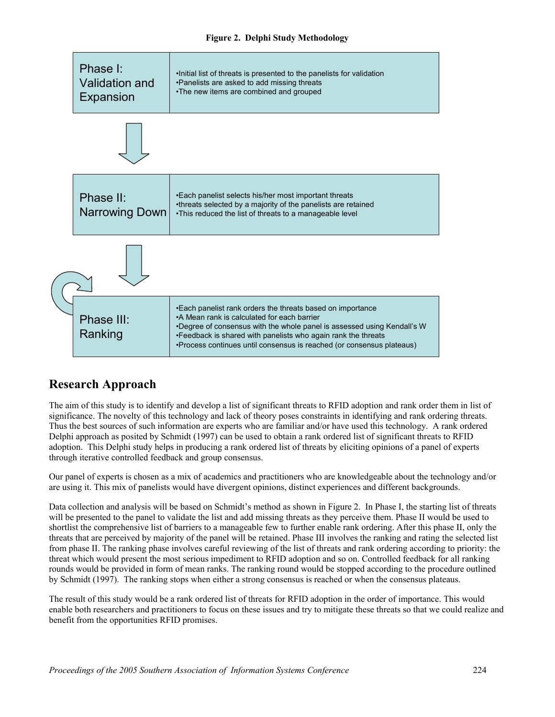

### **Research Approach**

The aim of this study is to identify and develop a list of significant threats to RFID adoption and rank order them in list of significance. The novelty of this technology and lack of theory poses constraints in identifying and rank ordering threats. Thus the best sources of such information are experts who are familiar and/or have used this technology. A rank ordered Delphi approach as posited by Schmidt (1997) can be used to obtain a rank ordered list of significant threats to RFID adoption. This Delphi study helps in producing a rank ordered list of threats by eliciting opinions of a panel of experts through iterative controlled feedback and group consensus.

Our panel of experts is chosen as a mix of academics and practitioners who are knowledgeable about the technology and/or are using it. This mix of panelists would have divergent opinions, distinct experiences and different backgrounds.

Data collection and analysis will be based on Schmidt's method as shown in Figure 2. In Phase I, the starting list of threats will be presented to the panel to validate the list and add missing threats as they perceive them. Phase II would be used to shortlist the comprehensive list of barriers to a manageable few to further enable rank ordering. After this phase II, only the threats that are perceived by majority of the panel will be retained. Phase III involves the ranking and rating the selected list from phase II. The ranking phase involves careful reviewing of the list of threats and rank ordering according to priority: the threat which would present the most serious impediment to RFID adoption and so on. Controlled feedback for all ranking rounds would be provided in form of mean ranks. The ranking round would be stopped according to the procedure outlined by Schmidt (1997). The ranking stops when either a strong consensus is reached or when the consensus plateaus.

The result of this study would be a rank ordered list of threats for RFID adoption in the order of importance. This would enable both researchers and practitioners to focus on these issues and try to mitigate these threats so that we could realize and benefit from the opportunities RFID promises.